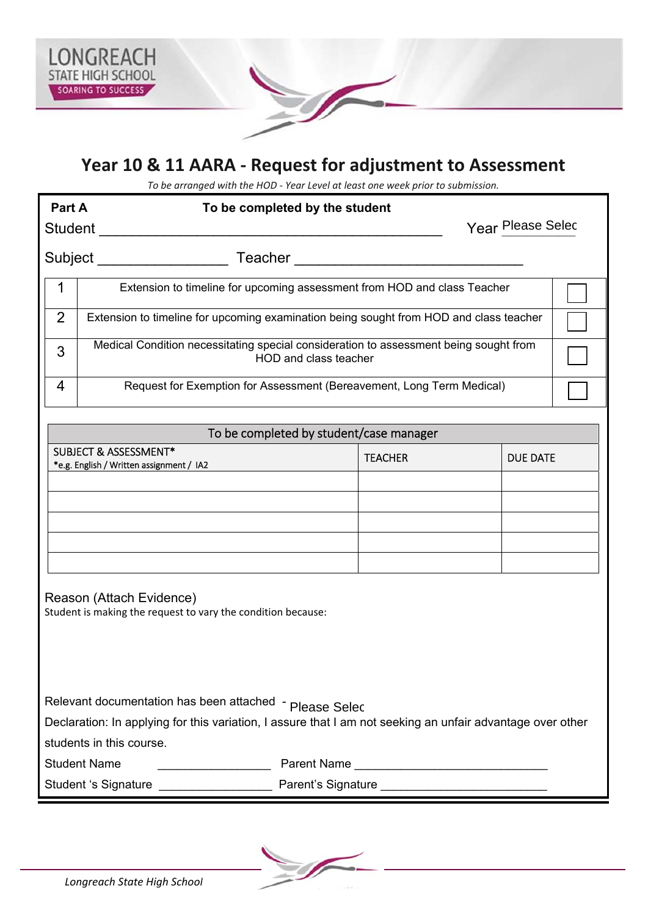

## **Year 10 & 11 AARA ‐ Request for adjustment to Assessment**

*To be arranged with the HOD ‐ Year Level at least one week prior to submission.*

| <b>Part A</b>  | To be completed by the student                                                                                 |  |
|----------------|----------------------------------------------------------------------------------------------------------------|--|
| <b>Student</b> | Year Please Selec                                                                                              |  |
| Subject        | <b>Teacher</b>                                                                                                 |  |
|                | Extension to timeline for upcoming assessment from HOD and class Teacher                                       |  |
| 2              | Extension to timeline for upcoming examination being sought from HOD and class teacher                         |  |
| 3              | Medical Condition necessitating special consideration to assessment being sought from<br>HOD and class teacher |  |
| 4              | Request for Exemption for Assessment (Bereavement, Long Term Medical)                                          |  |

| To be completed by student/case manager                                      |                |                 |  |  |
|------------------------------------------------------------------------------|----------------|-----------------|--|--|
| <b>SUBJECT &amp; ASSESSMENT*</b><br>*e.g. English / Written assignment / IA2 | <b>TEACHER</b> | <b>DUE DATE</b> |  |  |
|                                                                              |                |                 |  |  |
|                                                                              |                |                 |  |  |
|                                                                              |                |                 |  |  |
|                                                                              |                |                 |  |  |
|                                                                              |                |                 |  |  |

Reason (Attach Evidence)

Student is making the request to vary the condition because:

Relevant documentation has been attached - Please Selec

Declaration: In applying for this variation, I assure that I am not seeking an unfair advantage over other students in this course.

Student Name \_\_\_\_\_\_\_\_\_\_\_\_\_\_\_\_\_ Parent Name \_\_\_\_\_\_\_\_\_\_\_\_\_\_\_\_\_\_\_\_\_\_\_\_\_\_\_\_\_

Student 's Signature \_\_\_\_\_\_\_\_\_\_\_\_\_\_\_\_\_ Parent's Signature \_\_\_\_\_\_\_\_\_\_\_\_\_\_\_\_\_\_\_\_\_\_\_\_\_